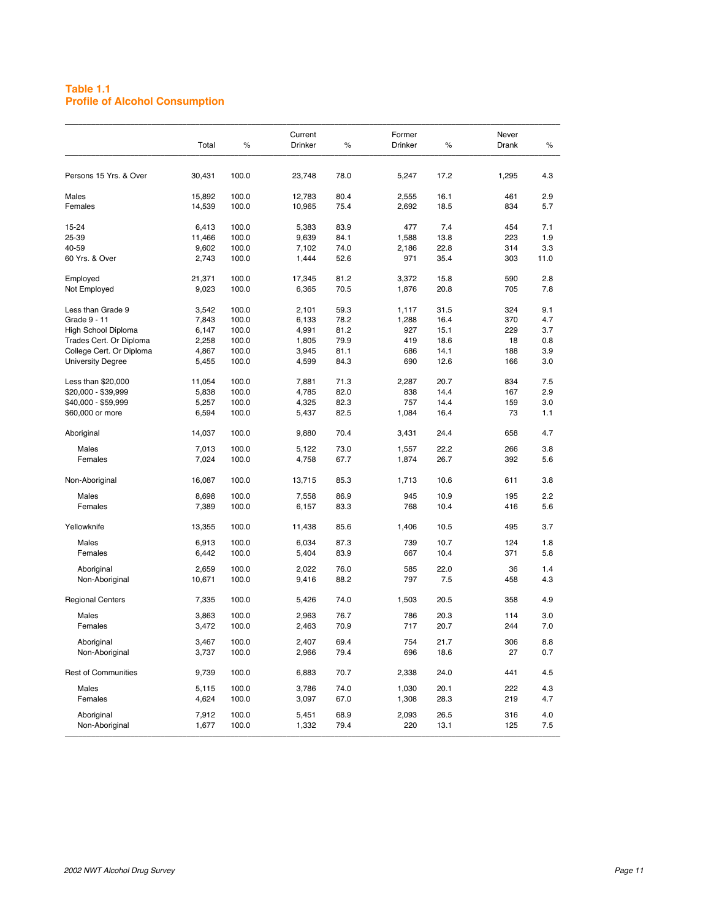#### **Table 1.1 Profile of Alcohol Consumption**

|                            | Total  | %     | Current<br>Drinker | $\%$ | Former<br>Drinker | %    | Never<br>Drank | %    |
|----------------------------|--------|-------|--------------------|------|-------------------|------|----------------|------|
| Persons 15 Yrs. & Over     | 30,431 | 100.0 | 23,748             | 78.0 | 5,247             | 17.2 | 1,295          | 4.3  |
| Males                      | 15,892 | 100.0 | 12,783             | 80.4 | 2,555             | 16.1 | 461            | 2.9  |
| Females                    | 14,539 | 100.0 | 10,965             | 75.4 | 2,692             | 18.5 | 834            | 5.7  |
|                            |        |       |                    |      |                   |      |                |      |
| 15-24                      | 6,413  | 100.0 | 5,383              | 83.9 | 477               | 7.4  | 454            | 7.1  |
| 25-39                      | 11,466 | 100.0 | 9,639              | 84.1 | 1,588             | 13.8 | 223            | 1.9  |
| 40-59                      | 9,602  | 100.0 | 7,102              | 74.0 | 2,186             | 22.8 | 314            | 3.3  |
| 60 Yrs. & Over             | 2.743  | 100.0 | 1,444              | 52.6 | 971               | 35.4 | 303            | 11.0 |
| Employed                   | 21,371 | 100.0 | 17,345             | 81.2 | 3,372             | 15.8 | 590            | 2.8  |
| Not Employed               | 9,023  | 100.0 | 6,365              | 70.5 | 1,876             | 20.8 | 705            | 7.8  |
|                            |        |       |                    |      |                   |      |                |      |
| Less than Grade 9          | 3,542  | 100.0 | 2,101              | 59.3 | 1,117             | 31.5 | 324            | 9.1  |
| Grade 9 - 11               | 7,843  | 100.0 | 6,133              | 78.2 | 1,288             | 16.4 | 370            | 4.7  |
| High School Diploma        | 6,147  | 100.0 | 4,991              | 81.2 | 927               | 15.1 | 229            | 3.7  |
| Trades Cert. Or Diploma    | 2,258  | 100.0 | 1,805              | 79.9 | 419               | 18.6 | 18             | 0.8  |
| College Cert. Or Diploma   | 4,867  | 100.0 | 3,945              | 81.1 | 686               | 14.1 | 188            | 3.9  |
| <b>University Degree</b>   | 5,455  | 100.0 | 4,599              | 84.3 | 690               | 12.6 | 166            | 3.0  |
| Less than \$20,000         | 11,054 | 100.0 | 7,881              | 71.3 | 2,287             | 20.7 | 834            | 7.5  |
| \$20,000 - \$39,999        | 5,838  | 100.0 | 4,785              | 82.0 | 838               | 14.4 | 167            | 2.9  |
| \$40,000 - \$59,999        | 5,257  | 100.0 | 4,325              | 82.3 | 757               | 14.4 | 159            | 3.0  |
| \$60,000 or more           | 6,594  | 100.0 | 5,437              | 82.5 | 1,084             | 16.4 | 73             | 1.1  |
|                            |        |       |                    |      |                   |      |                |      |
| Aboriginal                 | 14,037 | 100.0 | 9,880              | 70.4 | 3,431             | 24.4 | 658            | 4.7  |
| Males                      | 7,013  | 100.0 | 5,122              | 73.0 | 1,557             | 22.2 | 266            | 3.8  |
| Females                    | 7,024  | 100.0 | 4,758              | 67.7 | 1,874             | 26.7 | 392            | 5.6  |
| Non-Aboriginal             | 16,087 | 100.0 | 13,715             | 85.3 | 1,713             | 10.6 | 611            | 3.8  |
| Males                      | 8,698  | 100.0 | 7,558              | 86.9 | 945               | 10.9 | 195            | 2.2  |
| Females                    | 7,389  | 100.0 | 6,157              | 83.3 | 768               | 10.4 | 416            | 5.6  |
|                            |        |       |                    |      |                   |      |                |      |
| Yellowknife                | 13,355 | 100.0 | 11,438             | 85.6 | 1,406             | 10.5 | 495            | 3.7  |
| Males                      | 6,913  | 100.0 | 6,034              | 87.3 | 739               | 10.7 | 124            | 1.8  |
| Females                    | 6,442  | 100.0 | 5,404              | 83.9 | 667               | 10.4 | 371            | 5.8  |
| Aboriginal                 | 2,659  | 100.0 | 2,022              | 76.0 | 585               | 22.0 | 36             | 1.4  |
| Non-Aboriginal             | 10,671 | 100.0 | 9,416              | 88.2 | 797               | 7.5  | 458            | 4.3  |
| <b>Regional Centers</b>    | 7,335  | 100.0 | 5,426              | 74.0 | 1,503             | 20.5 | 358            | 4.9  |
| Males                      | 3,863  | 100.0 | 2,963              | 76.7 | 786               | 20.3 | 114            | 3.0  |
| Females                    | 3,472  | 100.0 | 2,463              | 70.9 | 717               | 20.7 | 244            | 7.0  |
|                            |        |       |                    |      |                   |      |                |      |
| Aboriginal                 | 3,467  | 100.0 | 2,407              | 69.4 | 754               | 21.7 | 306            | 8.8  |
| Non-Aboriginal             | 3,737  | 100.0 | 2,966              | 79.4 | 696               | 18.6 | 27             | 0.7  |
| <b>Rest of Communities</b> | 9,739  | 100.0 | 6,883              | 70.7 | 2,338             | 24.0 | 441            | 4.5  |
| Males                      | 5,115  | 100.0 | 3,786              | 74.0 | 1,030             | 20.1 | 222            | 4.3  |
| Females                    | 4,624  | 100.0 | 3,097              | 67.0 | 1,308             | 28.3 | 219            | 4.7  |
|                            |        |       |                    |      |                   |      |                |      |
| Aboriginal                 | 7,912  | 100.0 | 5,451              | 68.9 | 2,093             | 26.5 | 316            | 4.0  |
| Non-Aboriginal             | 1,677  | 100.0 | 1,332              | 79.4 | 220               | 13.1 | 125            | 7.5  |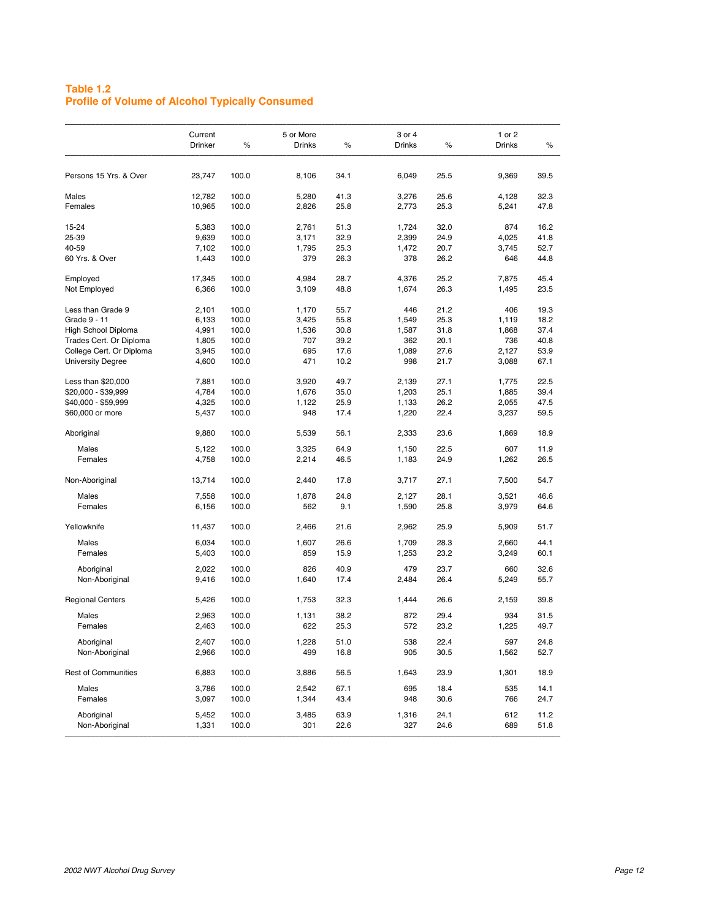## **Table 1.2 Profile of Volume of Alcohol Typically Consumed**

|                            | Current<br><b>Drinker</b> | %     | 5 or More<br><b>Drinks</b> | $\%$ | 3 or 4<br><b>Drinks</b> | %    | 1 or 2<br><b>Drinks</b> | %    |
|----------------------------|---------------------------|-------|----------------------------|------|-------------------------|------|-------------------------|------|
| Persons 15 Yrs. & Over     | 23,747                    | 100.0 | 8,106                      | 34.1 | 6,049                   | 25.5 | 9,369                   | 39.5 |
| Males                      | 12,782                    | 100.0 | 5,280                      | 41.3 | 3,276                   | 25.6 | 4,128                   | 32.3 |
| Females                    | 10,965                    | 100.0 | 2,826                      | 25.8 | 2,773                   | 25.3 | 5,241                   | 47.8 |
| 15-24                      | 5,383                     | 100.0 | 2,761                      | 51.3 | 1,724                   | 32.0 | 874                     | 16.2 |
| 25-39                      | 9,639                     | 100.0 | 3,171                      | 32.9 | 2,399                   | 24.9 | 4,025                   | 41.8 |
| 40-59                      | 7,102                     | 100.0 | 1,795                      | 25.3 | 1,472                   | 20.7 | 3,745                   | 52.7 |
| 60 Yrs. & Over             | 1,443                     | 100.0 | 379                        | 26.3 | 378                     | 26.2 | 646                     | 44.8 |
| Employed                   | 17,345                    | 100.0 | 4,984                      | 28.7 | 4,376                   | 25.2 | 7,875                   | 45.4 |
| Not Employed               | 6,366                     | 100.0 | 3,109                      | 48.8 | 1,674                   | 26.3 | 1,495                   | 23.5 |
| Less than Grade 9          | 2,101                     | 100.0 | 1,170                      | 55.7 | 446                     | 21.2 | 406                     | 19.3 |
| Grade 9 - 11               | 6,133                     | 100.0 | 3,425                      | 55.8 | 1,549                   | 25.3 | 1,119                   | 18.2 |
| High School Diploma        | 4,991                     | 100.0 | 1,536                      | 30.8 | 1,587                   | 31.8 | 1,868                   | 37.4 |
| Trades Cert. Or Diploma    | 1,805                     | 100.0 | 707                        | 39.2 | 362                     | 20.1 | 736                     | 40.8 |
| College Cert. Or Diploma   | 3,945                     | 100.0 | 695                        | 17.6 | 1,089                   | 27.6 | 2,127                   | 53.9 |
| <b>University Degree</b>   | 4,600                     | 100.0 | 471                        | 10.2 | 998                     | 21.7 | 3,088                   | 67.1 |
| Less than \$20,000         | 7,881                     | 100.0 | 3,920                      | 49.7 | 2,139                   | 27.1 | 1,775                   | 22.5 |
| \$20,000 - \$39,999        | 4,784                     | 100.0 | 1,676                      | 35.0 | 1,203                   | 25.1 | 1,885                   | 39.4 |
| \$40,000 - \$59,999        | 4,325                     | 100.0 | 1,122                      | 25.9 | 1,133                   | 26.2 | 2,055                   | 47.5 |
| \$60,000 or more           | 5,437                     | 100.0 | 948                        | 17.4 | 1,220                   | 22.4 | 3,237                   | 59.5 |
| Aboriginal                 | 9,880                     | 100.0 | 5,539                      | 56.1 | 2,333                   | 23.6 | 1,869                   | 18.9 |
| Males                      | 5,122                     | 100.0 | 3,325                      | 64.9 | 1,150                   | 22.5 | 607                     | 11.9 |
| Females                    | 4,758                     | 100.0 | 2,214                      | 46.5 | 1,183                   | 24.9 | 1,262                   | 26.5 |
| Non-Aboriginal             | 13,714                    | 100.0 | 2,440                      | 17.8 | 3,717                   | 27.1 | 7,500                   | 54.7 |
| Males                      |                           | 100.0 |                            | 24.8 |                         | 28.1 |                         | 46.6 |
|                            | 7,558                     |       | 1,878<br>562               |      | 2,127                   |      | 3,521                   |      |
| Females                    | 6,156                     | 100.0 |                            | 9.1  | 1,590                   | 25.8 | 3,979                   | 64.6 |
| Yellowknife                | 11,437                    | 100.0 | 2,466                      | 21.6 | 2,962                   | 25.9 | 5,909                   | 51.7 |
| Males                      | 6,034                     | 100.0 | 1,607                      | 26.6 | 1,709                   | 28.3 | 2,660                   | 44.1 |
| Females                    | 5,403                     | 100.0 | 859                        | 15.9 | 1,253                   | 23.2 | 3,249                   | 60.1 |
| Aboriginal                 | 2,022                     | 100.0 | 826                        | 40.9 | 479                     | 23.7 | 660                     | 32.6 |
| Non-Aboriginal             | 9,416                     | 100.0 | 1,640                      | 17.4 | 2,484                   | 26.4 | 5,249                   | 55.7 |
| <b>Regional Centers</b>    | 5,426                     | 100.0 | 1,753                      | 32.3 | 1,444                   | 26.6 | 2,159                   | 39.8 |
| Males                      | 2,963                     | 100.0 | 1,131                      | 38.2 | 872                     | 29.4 | 934                     | 31.5 |
| Females                    | 2,463                     | 100.0 | 622                        | 25.3 | 572                     | 23.2 | 1,225                   | 49.7 |
| Aboriginal                 | 2,407                     | 100.0 | 1,228                      | 51.0 | 538                     | 22.4 | 597                     | 24.8 |
| Non-Aboriginal             | 2,966                     | 100.0 | 499                        | 16.8 | 905                     | 30.5 | 1,562                   | 52.7 |
| <b>Rest of Communities</b> | 6,883                     | 100.0 | 3,886                      | 56.5 | 1,643                   | 23.9 | 1,301                   | 18.9 |
| Males                      | 3,786                     | 100.0 | 2,542                      | 67.1 | 695                     | 18.4 | 535                     | 14.1 |
| Females                    | 3,097                     | 100.0 | 1,344                      | 43.4 | 948                     | 30.6 | 766                     | 24.7 |
| Aboriginal                 | 5,452                     | 100.0 | 3,485                      | 63.9 | 1,316                   | 24.1 | 612                     | 11.2 |
|                            | 1,331                     | 100.0 | 301                        | 22.6 | 327                     | 24.6 | 689                     | 51.8 |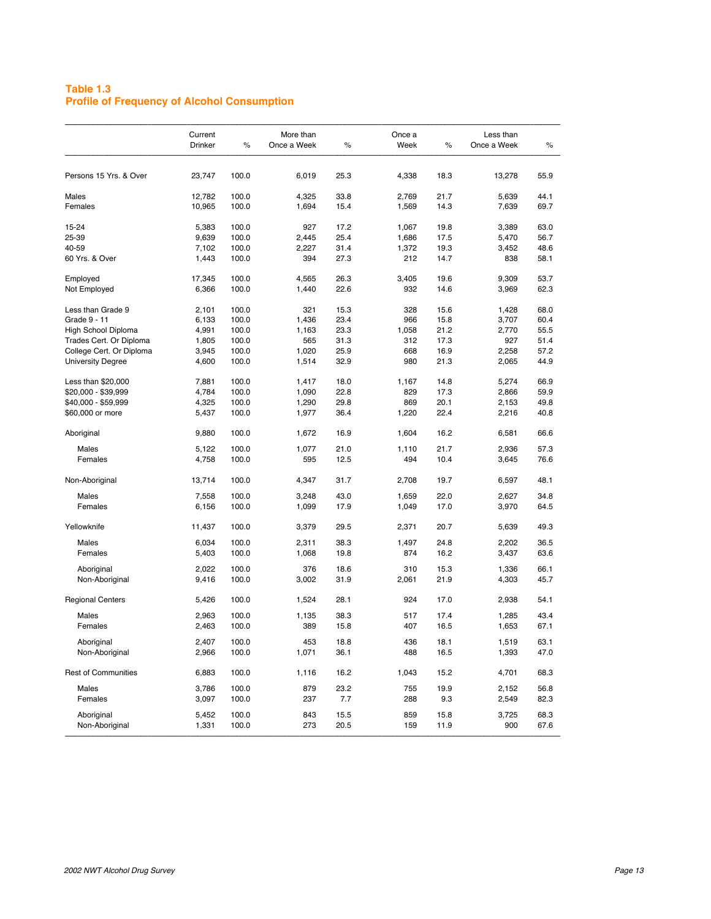## **Table 1.3 Profile of Frequency of Alcohol Consumption**

|                              | Current<br>Drinker | $\%$           | More than<br>Once a Week | $\%$         | Once a<br>Week | $\%$         | Less than<br>Once a Week | %            |
|------------------------------|--------------------|----------------|--------------------------|--------------|----------------|--------------|--------------------------|--------------|
| Persons 15 Yrs. & Over       | 23,747             | 100.0          | 6,019                    | 25.3         | 4,338          | 18.3         | 13,278                   | 55.9         |
| Males                        | 12,782             | 100.0          | 4,325                    | 33.8         | 2,769          | 21.7         | 5,639                    | 44.1         |
| Females                      | 10,965             | 100.0          | 1,694                    | 15.4         | 1,569          | 14.3         | 7,639                    | 69.7         |
| 15-24                        | 5,383              | 100.0          | 927                      | 17.2         | 1,067          | 19.8         | 3,389                    | 63.0         |
| 25-39                        | 9,639              | 100.0          | 2,445                    | 25.4         | 1,686          | 17.5         | 5,470                    | 56.7         |
| 40-59                        | 7,102              | 100.0          | 2,227                    | 31.4         | 1,372          | 19.3         | 3,452                    | 48.6         |
| 60 Yrs. & Over               | 1,443              | 100.0          | 394                      | 27.3         | 212            | 14.7         | 838                      | 58.1         |
| Employed                     | 17,345             | 100.0          | 4,565                    | 26.3         | 3,405          | 19.6         | 9,309                    | 53.7         |
| Not Employed                 | 6,366              | 100.0          | 1,440                    | 22.6         | 932            | 14.6         | 3,969                    | 62.3         |
|                              |                    |                |                          |              |                |              |                          |              |
| Less than Grade 9            | 2,101              | 100.0          | 321                      | 15.3         | 328            | 15.6         | 1,428                    | 68.0         |
| Grade 9 - 11                 | 6,133              | 100.0          | 1,436                    | 23.4         | 966            | 15.8         | 3,707                    | 60.4         |
| High School Diploma          | 4,991              | 100.0          | 1,163                    | 23.3         | 1,058          | 21.2         | 2,770                    | 55.5         |
| Trades Cert. Or Diploma      | 1,805              | 100.0          | 565                      | 31.3         | 312            | 17.3         | 927                      | 51.4         |
| College Cert. Or Diploma     | 3,945              | 100.0          | 1,020                    | 25.9         | 668            | 16.9         | 2,258                    | 57.2         |
| <b>University Degree</b>     | 4,600              | 100.0          | 1,514                    | 32.9         | 980            | 21.3         | 2,065                    | 44.9         |
| Less than \$20,000           | 7,881              | 100.0          | 1,417                    | 18.0         | 1,167          | 14.8         | 5,274                    | 66.9         |
| \$20,000 - \$39,999          | 4,784              | 100.0          | 1,090                    | 22.8         | 829            | 17.3         | 2,866                    | 59.9         |
| \$40,000 - \$59,999          | 4,325              | 100.0          | 1,290                    | 29.8         | 869            | 20.1         | 2,153                    | 49.8         |
| \$60,000 or more             | 5,437              | 100.0          | 1,977                    | 36.4         | 1,220          | 22.4         | 2,216                    | 40.8         |
|                              |                    |                |                          |              |                |              |                          |              |
| Aboriginal                   | 9,880              | 100.0          | 1,672                    | 16.9         | 1,604          | 16.2         | 6,581                    | 66.6         |
| Males                        | 5,122              | 100.0          | 1,077                    | 21.0         | 1,110          | 21.7         | 2,936                    | 57.3         |
| Females                      | 4,758              | 100.0          | 595                      | 12.5         | 494            | 10.4         | 3,645                    | 76.6         |
| Non-Aboriginal               | 13,714             | 100.0          | 4,347                    | 31.7         | 2,708          | 19.7         | 6,597                    | 48.1         |
| Males                        | 7,558              | 100.0          | 3,248                    | 43.0         | 1,659          | 22.0         | 2,627                    | 34.8         |
| Females                      | 6,156              | 100.0          | 1,099                    | 17.9         | 1,049          | 17.0         | 3,970                    | 64.5         |
|                              |                    |                |                          |              |                |              |                          |              |
| Yellowknife                  | 11,437             | 100.0          | 3,379                    | 29.5         | 2,371          | 20.7         | 5,639                    | 49.3         |
| Males                        | 6,034              | 100.0          | 2,311                    | 38.3         | 1,497          | 24.8         | 2,202                    | 36.5         |
| Females                      | 5,403              | 100.0          | 1,068                    | 19.8         | 874            | 16.2         | 3,437                    | 63.6         |
| Aboriginal                   | 2,022              | 100.0          | 376                      | 18.6         | 310            | 15.3         | 1,336                    | 66.1         |
| Non-Aboriginal               | 9,416              | 100.0          | 3,002                    | 31.9         | 2,061          | 21.9         | 4,303                    | 45.7         |
| <b>Regional Centers</b>      | 5,426              | 100.0          | 1,524                    | 28.1         | 924            | 17.0         | 2,938                    | 54.1         |
| Males                        | 2,963              | 100.0          | 1,135                    | 38.3         | 517            | 17.4         | 1,285                    | 43.4         |
| Females                      | 2,463              | 100.0          | 389                      | 15.8         | 407            | 16.5         | 1,653                    | 67.1         |
|                              | 2,407              | 100.0          | 453                      | 18.8         | 436            | 18.1         | 1,519                    | 63.1         |
| Aboriginal<br>Non-Aboriginal | 2,966              | 100.0          | 1,071                    | 36.1         | 488            | 16.5         | 1,393                    | 47.0         |
| <b>Rest of Communities</b>   | 6,883              | 100.0          | 1,116                    | 16.2         | 1,043          | 15.2         | 4,701                    | 68.3         |
| Males                        | 3,786              | 100.0          | 879                      | 23.2         | 755            | 19.9         | 2,152                    | 56.8         |
| Females                      | 3,097              | 100.0          | 237                      | 7.7          | 288            | 9.3          | 2,549                    | 82.3         |
|                              |                    |                |                          |              |                |              |                          |              |
| Aboriginal<br>Non-Aboriginal | 5,452<br>1,331     | 100.0<br>100.0 | 843<br>273               | 15.5<br>20.5 | 859<br>159     | 15.8<br>11.9 | 3,725<br>900             | 68.3<br>67.6 |
|                              |                    |                |                          |              |                |              |                          |              |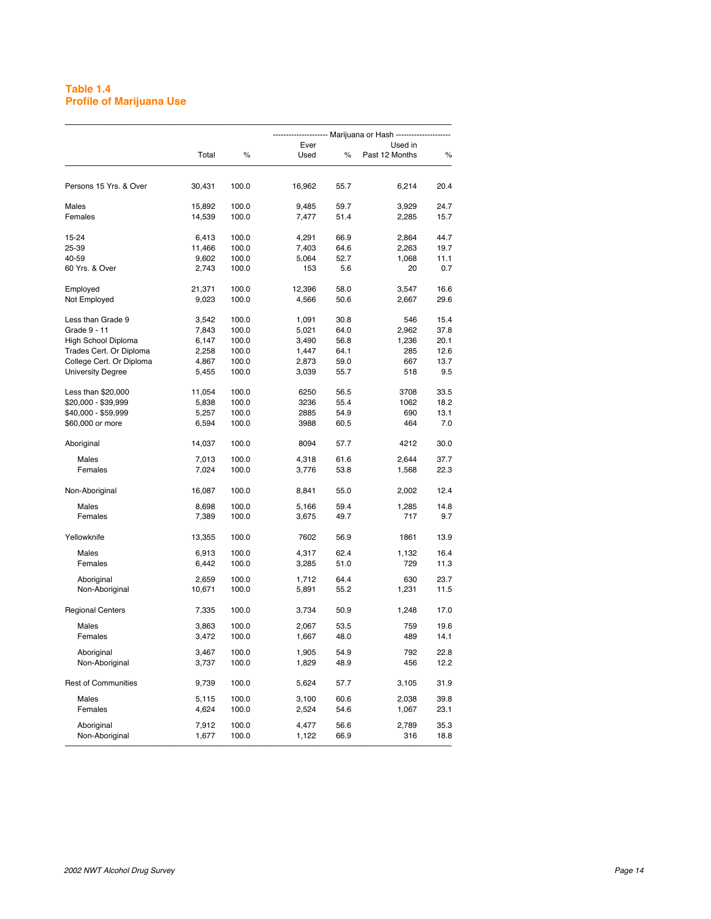## **Table 1.4 Profile of Marijuana Use**

|                            |        |       | Ever   |      | Used in        |      |  |  |
|----------------------------|--------|-------|--------|------|----------------|------|--|--|
|                            | Total  | $\%$  | Used   | $\%$ | Past 12 Months | $\%$ |  |  |
| Persons 15 Yrs. & Over     | 30,431 | 100.0 | 16,962 | 55.7 | 6,214          | 20.4 |  |  |
| Males                      | 15,892 | 100.0 | 9,485  | 59.7 | 3,929          | 24.7 |  |  |
| Females                    | 14,539 | 100.0 | 7,477  | 51.4 | 2,285          | 15.7 |  |  |
| 15-24                      | 6,413  | 100.0 | 4,291  | 66.9 | 2,864          | 44.7 |  |  |
| 25-39                      | 11,466 | 100.0 | 7,403  | 64.6 | 2,263          | 19.7 |  |  |
| 40-59                      | 9,602  | 100.0 | 5,064  | 52.7 | 1,068          | 11.1 |  |  |
| 60 Yrs. & Over             | 2,743  | 100.0 | 153    | 5.6  | 20             | 0.7  |  |  |
| Employed                   | 21,371 | 100.0 | 12,396 | 58.0 | 3,547          | 16.6 |  |  |
| Not Employed               | 9,023  | 100.0 | 4,566  | 50.6 | 2,667          | 29.6 |  |  |
| Less than Grade 9          | 3,542  | 100.0 | 1,091  | 30.8 | 546            | 15.4 |  |  |
| Grade 9 - 11               | 7,843  | 100.0 | 5,021  | 64.0 | 2,962          | 37.8 |  |  |
| High School Diploma        | 6,147  | 100.0 | 3,490  | 56.8 | 1,236          | 20.1 |  |  |
| Trades Cert. Or Diploma    | 2,258  | 100.0 | 1,447  | 64.1 | 285            | 12.6 |  |  |
| College Cert. Or Diploma   | 4,867  | 100.0 | 2,873  | 59.0 | 667            | 13.7 |  |  |
| <b>University Degree</b>   | 5,455  | 100.0 | 3,039  | 55.7 | 518            | 9.5  |  |  |
| Less than \$20,000         | 11,054 | 100.0 | 6250   | 56.5 | 3708           | 33.5 |  |  |
| \$20,000 - \$39,999        | 5,838  | 100.0 | 3236   | 55.4 | 1062           | 18.2 |  |  |
| \$40,000 - \$59,999        | 5,257  | 100.0 | 2885   | 54.9 | 690            | 13.1 |  |  |
| \$60,000 or more           | 6,594  | 100.0 | 3988   | 60.5 | 464            | 7.0  |  |  |
| Aboriginal                 | 14,037 | 100.0 | 8094   | 57.7 | 4212           | 30.0 |  |  |
| Males                      | 7,013  | 100.0 | 4,318  | 61.6 | 2,644          | 37.7 |  |  |
| Females                    | 7,024  | 100.0 | 3,776  | 53.8 | 1,568          | 22.3 |  |  |
| Non-Aboriginal             | 16,087 | 100.0 | 8,841  | 55.0 | 2,002          | 12.4 |  |  |
| Males                      | 8,698  | 100.0 | 5,166  | 59.4 | 1,285          | 14.8 |  |  |
| Females                    | 7,389  | 100.0 | 3,675  | 49.7 | 717            | 9.7  |  |  |
| Yellowknife                | 13,355 | 100.0 | 7602   | 56.9 | 1861           | 13.9 |  |  |
| Males                      | 6,913  | 100.0 | 4,317  | 62.4 | 1,132          | 16.4 |  |  |
| Females                    | 6,442  | 100.0 | 3,285  | 51.0 | 729            | 11.3 |  |  |
| Aboriginal                 | 2,659  | 100.0 | 1,712  | 64.4 | 630            | 23.7 |  |  |
| Non-Aboriginal             | 10,671 | 100.0 | 5,891  | 55.2 | 1,231          | 11.5 |  |  |
| <b>Regional Centers</b>    | 7,335  | 100.0 | 3,734  | 50.9 | 1,248          | 17.0 |  |  |
| Males                      | 3,863  | 100.0 | 2,067  | 53.5 | 759            | 19.6 |  |  |
| Females                    | 3,472  | 100.0 | 1,667  | 48.0 | 489            | 14.1 |  |  |
| Aboriginal                 | 3,467  | 100.0 | 1,905  | 54.9 | 792            | 22.8 |  |  |
| Non-Aboriginal             | 3,737  | 100.0 | 1,829  | 48.9 | 456            | 12.2 |  |  |
| <b>Rest of Communities</b> | 9,739  | 100.0 | 5,624  | 57.7 | 3,105          | 31.9 |  |  |
| Males                      | 5,115  | 100.0 | 3,100  | 60.6 | 2,038          | 39.8 |  |  |
| Females                    | 4,624  | 100.0 | 2,524  | 54.6 | 1,067          | 23.1 |  |  |
| Aboriginal                 | 7,912  | 100.0 | 4,477  | 56.6 | 2,789          | 35.3 |  |  |
| Non-Aboriginal             | 1,677  | 100.0 | 1,122  | 66.9 | 316            | 18.8 |  |  |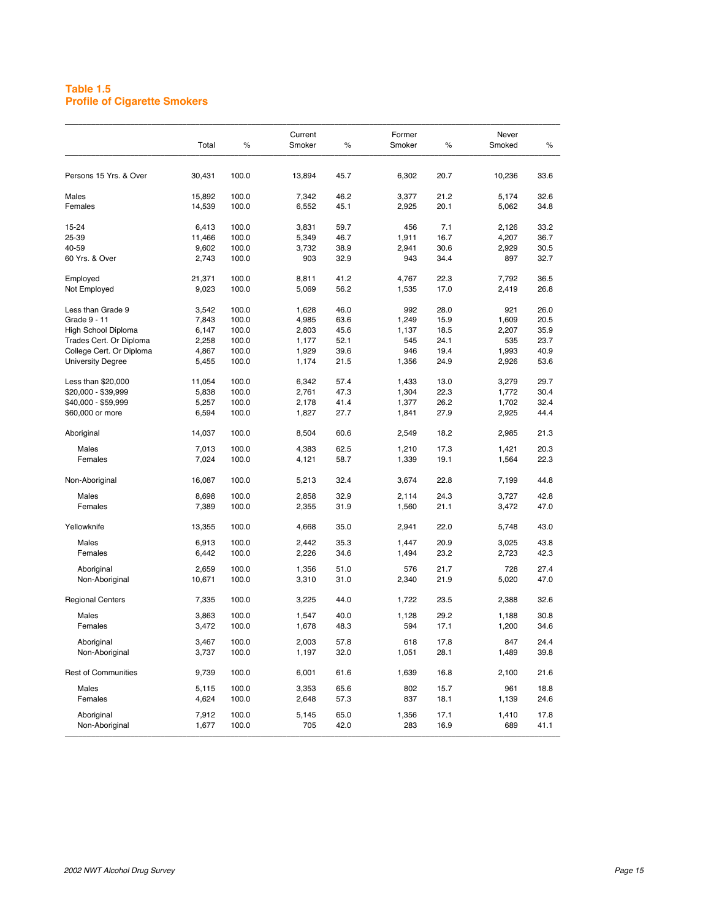## **Table 1.5 Profile of Cigarette Smokers**

| Persons 15 Yrs. & Over<br>Males | 30,431         |                |                |              |              |              |              |              |
|---------------------------------|----------------|----------------|----------------|--------------|--------------|--------------|--------------|--------------|
|                                 |                | 100.0          | 13,894         | 45.7         | 6,302        | 20.7         | 10,236       | 33.6         |
|                                 | 15,892         | 100.0          | 7,342          | 46.2         | 3,377        | 21.2         | 5,174        | 32.6         |
| Females                         | 14,539         | 100.0          | 6,552          | 45.1         | 2,925        | 20.1         | 5,062        | 34.8         |
|                                 |                |                |                |              |              |              |              |              |
| 15-24                           | 6,413          | 100.0          | 3,831          | 59.7         | 456          | 7.1          | 2,126        | 33.2         |
| 25-39                           | 11,466         | 100.0          | 5,349          | 46.7         | 1,911        | 16.7         | 4,207        | 36.7         |
| 40-59                           | 9,602          | 100.0          | 3,732          | 38.9         | 2,941        | 30.6         | 2,929        | 30.5         |
| 60 Yrs. & Over                  | 2,743          | 100.0          | 903            | 32.9         | 943          | 34.4         | 897          | 32.7         |
| Employed                        | 21,371         | 100.0          | 8,811          | 41.2         | 4,767        | 22.3         | 7,792        | 36.5         |
| Not Employed                    | 9,023          | 100.0          | 5,069          | 56.2         | 1,535        | 17.0         | 2,419        | 26.8         |
| Less than Grade 9               | 3,542          | 100.0          | 1,628          | 46.0         | 992          | 28.0         | 921          | 26.0         |
| Grade 9 - 11                    | 7,843          | 100.0          | 4,985          | 63.6         | 1,249        | 15.9         | 1,609        | 20.5         |
| High School Diploma             | 6,147          | 100.0          | 2,803          | 45.6         | 1,137        | 18.5         | 2,207        | 35.9         |
| Trades Cert. Or Diploma         | 2,258          | 100.0          | 1,177          | 52.1         | 545          | 24.1         | 535          | 23.7         |
| College Cert. Or Diploma        | 4,867          | 100.0          | 1,929          | 39.6         | 946          | 19.4         | 1,993        | 40.9         |
| <b>University Degree</b>        | 5,455          | 100.0          | 1,174          | 21.5         | 1,356        | 24.9         | 2,926        | 53.6         |
|                                 |                |                |                |              |              |              |              |              |
| Less than \$20,000              | 11,054         | 100.0          | 6,342          | 57.4         | 1,433        | 13.0         | 3,279        | 29.7         |
| \$20,000 - \$39,999             | 5,838          | 100.0          | 2,761          | 47.3         | 1,304        | 22.3         | 1,772        | 30.4         |
| \$40,000 - \$59,999             | 5,257          | 100.0          | 2,178          | 41.4         | 1,377        | 26.2         | 1,702        | 32.4         |
| \$60,000 or more                | 6,594          | 100.0          | 1,827          | 27.7         | 1,841        | 27.9         | 2,925        | 44.4         |
| Aboriginal                      | 14,037         | 100.0          | 8,504          | 60.6         | 2,549        | 18.2         | 2,985        | 21.3         |
| Males                           | 7,013          | 100.0          | 4,383          | 62.5         | 1,210        | 17.3         | 1,421        | 20.3         |
| Females                         | 7,024          | 100.0          | 4,121          | 58.7         | 1,339        | 19.1         | 1,564        | 22.3         |
| Non-Aboriginal                  | 16,087         | 100.0          | 5,213          | 32.4         | 3,674        | 22.8         | 7,199        | 44.8         |
| Males                           | 8,698          | 100.0          | 2,858          | 32.9         | 2,114        | 24.3         | 3,727        | 42.8         |
|                                 |                | 100.0          |                |              |              |              |              | 47.0         |
| Females                         | 7,389          |                | 2,355          | 31.9         | 1,560        | 21.1         | 3,472        |              |
| Yellowknife                     | 13,355         | 100.0          | 4,668          | 35.0         | 2,941        | 22.0         | 5,748        | 43.0         |
| Males                           | 6,913          | 100.0          | 2,442          | 35.3         | 1,447        | 20.9         | 3,025        | 43.8         |
| Females                         | 6,442          | 100.0          | 2,226          | 34.6         | 1,494        | 23.2         | 2,723        | 42.3         |
| Aboriginal                      | 2,659          | 100.0          | 1,356          | 51.0         | 576          | 21.7         | 728          | 27.4         |
| Non-Aboriginal                  | 10,671         | 100.0          | 3,310          | 31.0         | 2,340        | 21.9         | 5,020        | 47.0         |
| <b>Regional Centers</b>         | 7,335          | 100.0          | 3,225          | 44.0         | 1,722        | 23.5         | 2,388        | 32.6         |
| Males                           | 3,863          | 100.0          | 1,547          | 40.0         | 1,128        | 29.2         | 1,188        | 30.8         |
| Females                         | 3,472          | 100.0          | 1,678          | 48.3         | 594          | 17.1         | 1,200        | 34.6         |
|                                 |                |                |                |              |              |              |              |              |
| Aboriginal<br>Non-Aboriginal    | 3,467<br>3,737 | 100.0<br>100.0 | 2,003<br>1,197 | 57.8<br>32.0 | 618<br>1,051 | 17.8<br>28.1 | 847<br>1,489 | 24.4<br>39.8 |
| <b>Rest of Communities</b>      | 9,739          | 100.0          | 6,001          | 61.6         | 1,639        | 16.8         | 2,100        | 21.6         |
| Males                           | 5,115          | 100.0          | 3,353          | 65.6         | 802          | 15.7         | 961          | 18.8         |
| Females                         | 4,624          | 100.0          | 2,648          | 57.3         | 837          | 18.1         | 1,139        | 24.6         |
| Aboriginal                      | 7,912          | 100.0          | 5,145          | 65.0         | 1,356        | 17.1         | 1,410        | 17.8         |
| Non-Aboriginal                  | 1,677          | 100.0          | 705            | 42.0         | 283          | 16.9         | 689          | 41.1         |